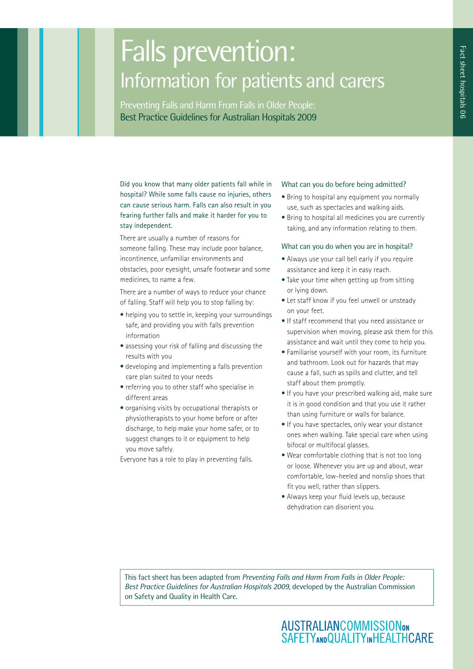# Falls prevention: Information for patients and carers

Preventing Falls and Harm From Falls in Older People: Best Practice Guidelines for Australian Hospitals 2009

Did you know that many older patients fall while in hospital? While some falls cause no injuries, others can cause serious harm. Falls can also result in you fearing further falls and make it harder for you to stay independent.

There are usually a number of reasons for someone falling. These may include poor balance, incontinence, unfamiliar environments and obstacles, poor eyesight, unsafe footwear and some medicines, to name a few.

There are a number of ways to reduce your chance of falling. Staff will help you to stop falling by:

- helping you to settle in, keeping your surroundings safe, and providing you with falls prevention information
- assessing your risk of falling and discussing the results with you
- developing and implementing a falls prevention care plan suited to your needs
- referring you to other staff who specialise in different areas
- organising visits by occupational therapists or physiotherapists to your home before or after discharge, to help make your home safer, or to suggest changes to it or equipment to help you move safely.

Everyone has a role to play in preventing falls.

### What can you do before being admitted?

- Bring to hospital any equipment you normally use, such as spectacles and walking aids.
- Bring to hospital all medicines you are currently taking, and any information relating to them.

### What can you do when you are in hospital?

- Always use your call bell early if you require assistance and keep it in easy reach.
- Take your time when getting up from sitting or lying down.
- Let staff know if you feel unwell or unsteady on your feet.
- If staff recommend that you need assistance or supervision when moving, please ask them for this assistance and wait until they come to help you.
- Familiarise yourself with your room, its furniture and bathroom. Look out for hazards that may cause a fall, such as spills and clutter, and tell staff about them promptly.
- If you have your prescribed walking aid, make sure it is in good condition and that you use it rather than using furniture or walls for balance.
- If you have spectacles, only wear your distance ones when walking. Take special care when using bifocal or multifocal glasses.
- Wear comfortable clothing that is not too long or loose. Whenever you are up and about, wear comfortable, low-heeled and nonslip shoes that fit you well, rather than slippers.
- Always keep your fluid levels up, because dehydration can disorient you.

This fact sheet has been adapted from *Preventing Falls and Harm From Falls in Older People: Best Practice Guidelines for Australian Hospitals 2009*, developed by the Australian Commission on Safety and Quality in Health Care.